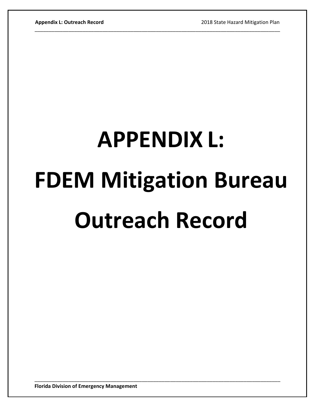## **APPENDIX L: FDEM Mitigation Bureau Outreach Record**

\_\_\_\_\_\_\_\_\_\_\_\_\_\_\_\_\_\_\_\_\_\_\_\_\_\_\_\_\_\_\_\_\_\_\_\_\_\_\_\_\_\_\_\_\_\_\_\_\_\_\_\_\_\_\_\_\_\_\_\_\_\_\_\_\_\_\_\_\_\_\_\_\_\_\_\_\_\_\_\_\_\_\_\_\_\_\_

\_\_\_\_\_\_\_\_\_\_\_\_\_\_\_\_\_\_\_\_\_\_\_\_\_\_\_\_\_\_\_\_\_\_\_\_\_\_\_\_\_\_\_\_\_\_\_\_\_\_\_\_\_\_\_\_\_\_\_\_\_\_\_\_\_\_\_\_\_\_\_\_\_\_\_\_\_\_\_\_\_\_\_\_\_\_\_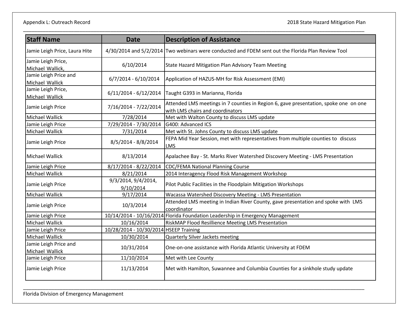| <b>Staff Name</b>                        | <b>Date</b>                            | <b>Description of Assistance</b>                                                                                         |
|------------------------------------------|----------------------------------------|--------------------------------------------------------------------------------------------------------------------------|
| Jamie Leigh Price, Laura Hite            |                                        | 4/30/2014 and 5/2/2014 Two webinars were conducted and FDEM sent out the Florida Plan Review Tool                        |
| Jamie Leigh Price,<br>Michael Wallick,   | 6/10/2014                              | State Hazard Mitigation Plan Advisory Team Meeting                                                                       |
| Jamie Leigh Price and<br>Michael Wallick | $6/7/2014 - 6/10/2014$                 | Application of HAZUS-MH for Risk Assessment (EMI)                                                                        |
| Jamie Leigh Price,<br>Michael Wallick    |                                        | 6/11/2014 - 6/12/2014   Taught G393 in Marianna, Florida                                                                 |
| Jamie Leigh Price                        | 7/16/2014 - 7/22/2014                  | Attended LMS meetings in 7 counties in Region 6, gave presentation, spoke one on one<br>with LMS chairs and coordinators |
| Michael Wallick                          | 7/28/2014                              | Met with Walton County to discuss LMS update                                                                             |
| Jamie Leigh Price                        | 7/29/2014 - 7/30/2014                  | G400: Advanced ICS                                                                                                       |
| Michael Wallick                          | 7/31/2014                              | Met with St. Johns County to discuss LMS update                                                                          |
| Jamie Leigh Price                        | 8/5/2014 - 8/8/2014                    | FEPA Mid Year Session, met with representatives from multiple counties to discuss<br><b>LMS</b>                          |
| Michael Wallick                          | 8/13/2014                              | Apalachee Bay - St. Marks River Watershed Discovery Meeting - LMS Presentation                                           |
| Jamie Leigh Price                        | 8/17/2014 - 8/22/2014                  | CDC/FEMA National Planning Course                                                                                        |
| <b>Michael Wallick</b>                   | 8/21/2014                              | 2014 Interagency Flood Risk Management Workshop                                                                          |
| Jamie Leigh Price                        | 9/3/2014, 9/4/2014,<br>9/10/2014       | Pilot Public Facilities in the Floodplain Mitigation Workshops                                                           |
| Michael Wallick                          | 9/17/2014                              | Wacassa Watershed Discovery Meeting - LMS Presentation                                                                   |
| Jamie Leigh Price                        | 10/3/2014                              | Attended LMS meeting in Indian River County, gave presentation and spoke with LMS<br>coordinator                         |
| Jamie Leigh Price                        |                                        | 10/14/2014 - 10/16/2014 Florida Foundation Leadership in Emergency Management                                            |
| Michael Wallick                          | 10/16/2014                             | RiskMAP Flood Resillience Meeting LMS Presentation                                                                       |
| Jamie Leigh Price                        | 10/28/2014 - 10/30/2014 HSEEP Training |                                                                                                                          |
| Michael Wallick                          | 10/30/2014                             | Quarterly Silver Jackets meeting                                                                                         |
| Jamie Leigh Price and<br>Michael Wallick | 10/31/2014                             | One-on-one assistance with Florida Atlantic University at FDEM                                                           |
| Jamie Leigh Price                        | 11/10/2014                             | Met with Lee County                                                                                                      |
| Jamie Leigh Price                        | 11/13/2014                             | Met with Hamilton, Suwannee and Columbia Counties for a sinkhole study update                                            |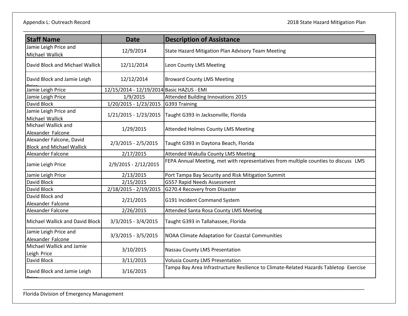| <b>Staff Name</b>                                            | <b>Date</b>                               | <b>Description of Assistance</b>                                                      |
|--------------------------------------------------------------|-------------------------------------------|---------------------------------------------------------------------------------------|
| Jamie Leigh Price and<br>Michael Wallick                     | 12/9/2014                                 | State Hazard Mitigation Plan Advisory Team Meeting                                    |
| David Block and Michael Wallick                              | 12/11/2014                                | Leon County LMS Meeting                                                               |
| David Block and Jamie Leigh                                  | 12/12/2014                                | <b>Broward County LMS Meeting</b>                                                     |
| Jamie Leigh Price                                            | 12/15/2014 - 12/19/2014 Basic HAZUS - EMI |                                                                                       |
| Jamie Leigh Price                                            | 1/9/2015                                  | <b>Attended Building Innovations 2015</b>                                             |
| David Block                                                  | 1/20/2015 - 1/23/2015                     | G393 Training                                                                         |
| Jamie Leigh Price and<br>Michael Wallick                     | 1/21/2015 - 1/23/2015                     | Taught G393 in Jacksonville, Florida                                                  |
| Michael Wallick and<br>Alexander Falcone                     | 1/29/2015                                 | <b>Attended Holmes County LMS Meeting</b>                                             |
| Alexander Falcone, David<br><b>Block and Michael Wallick</b> | 2/3/2015 - 2/5/2015                       | Taught G393 in Daytona Beach, Florida                                                 |
| Alexander Falcone                                            | 2/17/2015                                 | <b>Attended Wakulla County LMS Meeting</b>                                            |
| Jamie Leigh Price                                            | 2/9/2015 - 2/12/2015                      | FEPA Annual Meeting, met with representatives from multiple counties to discuss LMS   |
| Jamie Leigh Price                                            | 2/13/2015                                 | Port Tampa Bay Security and Risk Mitigation Summit                                    |
| David Block                                                  | 2/15/2015                                 | G557 Rapid Needs Assessment                                                           |
| David Block                                                  | 2/18/2015 - 2/19/2015                     | G270.4 Recovery from Disaster                                                         |
| David Block and<br>Alexander Falcone                         | 2/21/2015                                 | G191 Incident Command System                                                          |
| Alexander Falcone                                            | 2/26/2015                                 | Attended Santa Rosa County LMS Meeting                                                |
| Michael Wallick and David Block                              | $3/3/2015 - 3/4/2015$                     | Taught G393 in Tallahassee, Florida                                                   |
| Jamie Leigh Price and<br>Alexander Falcone                   | 3/3/2015 - 3/5/2015                       | NOAA Climate Adaptation for Coastal Communities                                       |
| Michael Wallick and Jamie<br>Leigh Price                     | 3/10/2015                                 | Nassau County LMS Presentation                                                        |
| David Block                                                  | 3/11/2015                                 | <b>Volusia County LMS Presentation</b>                                                |
| David Block and Jamie Leigh                                  | 3/16/2015                                 | Tampa Bay Area Infrastructure Resilience to Climate-Related Hazards Tabletop Exercise |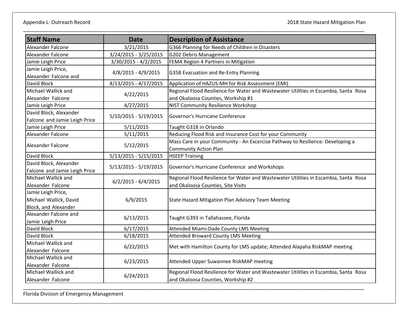| <b>Staff Name</b>             | <b>Date</b>             | <b>Description of Assistance</b>                                                     |
|-------------------------------|-------------------------|--------------------------------------------------------------------------------------|
| Alexander Falcone             | 3/21/2015               | G366 Planning for Needs of Children in Disasters                                     |
| Alexander Falcone             | 3/24/2015 - 3/25/2015   | G202 Debris Management                                                               |
| Jamie Leigh Price             | 3/30/2015 - 4/2/2015    | FEMA Region 4 Partners in Mitigation                                                 |
| Jamie Leigh Price,            | 4/8/2015 - 4/9/2015     |                                                                                      |
| Alexander Falcone and         |                         | G358 Evacuation and Re-Entry Planning                                                |
| David Block                   | 4/13/2015 - 4/17/2015   | Application of HAZUS-MH for Risk Assessment (EMI)                                    |
| Michael Wallick and           | 4/22/2015               | Regional Flood Resilience for Water and Wastewater Utilities in Escambia, Santa Rosa |
| Alexander Falcone             |                         | and Okaloosa Counties, Workship #1                                                   |
| Jamie Leigh Price             | 4/27/2015               | NIST Community Resilience Workshop                                                   |
| David Block, Alexander        | $5/10/2015 - 5/19/2015$ | Governor's Hurricane Conference                                                      |
| Falcone and Jamie Leigh Price |                         |                                                                                      |
| Jamie Leigh Price             | 5/11/2015               | Taught G318 in Orlando                                                               |
| Alexander Falcone             | 5/11/2015               | Reducing Flood Risk and Insurance Cost for your Community                            |
| Alexander Falcone             | 5/12/2015               | Mass Care in your Community - An Excercise Pathway to Resilience: Developing a       |
|                               |                         | <b>Community Action Plan</b>                                                         |
| David Block                   | 5/13/2015 - 5/15/2015   | <b>HSEEP Training</b>                                                                |
| David Block, Alexander        | 5/13/2015 - 5/19/2015   | Governor's Hurricane Conference and Workshops                                        |
| Falcone and Jamie Leigh Price |                         |                                                                                      |
| Michael Wallick and           | $6/2/2015 - 6/4/2015$   | Regional Flood Resilience for Water and Wastewater Utilities in Escambia, Santa Rosa |
| Alexander Falcone             |                         | and Okaloosa Counties, Site Visits                                                   |
| Jamie Leigh Price,            |                         |                                                                                      |
| Michael Wallick, David        | 6/9/2015                | State Hazard Mitigation Plan Advisory Team Meeting                                   |
| Block, and Alexander          |                         |                                                                                      |
| Alexander Falcone and         | 6/13/2015               | Taught G393 in Tallahassee, Florida                                                  |
| Jamie Leigh Price             |                         |                                                                                      |
| David Block                   | 6/17/2015               | <b>Attended Miami-Dade County LMS Meeting</b>                                        |
| David Block                   | 6/18/2015               | <b>Attended Broward County LMS Meeting</b>                                           |
| Michael Wallick and           | 6/22/2015               | Met with Hamilton County for LMS update; Attended Alapaha RiskMAP meeting            |
| Alexander Falcone             |                         |                                                                                      |
| Michael Wallick and           | 6/23/2015               | Attended Upper Suwannee RiskMAP meeting                                              |
| Alexander Falcone             |                         |                                                                                      |
| Michael Walliick and          | 6/24/2015               | Regional Flood Resilience for Water and Wastewater Utilities in Escambia, Santa Rosa |
| Alexander Falcone             |                         | and Okaloosa Counties, Workship #2                                                   |
|                               |                         |                                                                                      |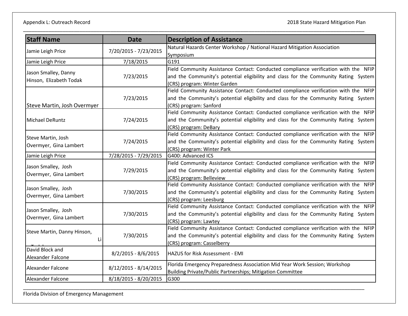| <b>Staff Name</b>           | <b>Date</b>           | <b>Description of Assistance</b>                                                                             |
|-----------------------------|-----------------------|--------------------------------------------------------------------------------------------------------------|
|                             | 7/20/2015 - 7/23/2015 | Natural Hazards Center Workshop / National Hazard Mitigation Association                                     |
| Jamie Leigh Price           |                       | Symposium                                                                                                    |
| Jamie Leigh Price           | 7/18/2015             | G191                                                                                                         |
| Jason Smalley, Danny        |                       | Field Community Assistance Contact: Conducted compliance verification with the NFIP                          |
| Hinson, Elizabeth Todak     | 7/23/2015             | and the Community's potential eligibility and class for the Community Rating System                          |
|                             |                       | (CRS) program: Winter Garden                                                                                 |
|                             |                       | Field Community Assistance Contact: Conducted compliance verification with the NFIP                          |
|                             | 7/23/2015             | and the Community's potential eligibility and class for the Community Rating System                          |
| Steve Martin, Josh Overmyer |                       | (CRS) program: Sanford                                                                                       |
|                             |                       | Field Community Assistance Contact: Conducted compliance verification with the NFIP                          |
| Michael DeRuntz             | 7/24/2015             | and the Community's potential eligibility and class for the Community Rating System                          |
|                             |                       | (CRS) program: DeBary                                                                                        |
| Steve Martin, Josh          |                       | Field Community Assistance Contact: Conducted compliance verification with the NFIP                          |
| Overmyer, Gina Lambert      | 7/24/2015             | and the Community's potential eligibility and class for the Community Rating System                          |
|                             |                       | (CRS) program: Winter Park                                                                                   |
| Jamie Leigh Price           | 7/28/2015 - 7/29/2015 | G400: Advanced ICS                                                                                           |
| Jason Smalley, Josh         |                       | Field Community Assistance Contact: Conducted compliance verification with the NFIP                          |
| Overmyer, Gina Lambert      | 7/29/2015             | and the Community's potential eligibility and class for the Community Rating System                          |
|                             |                       | (CRS) program: Belleview                                                                                     |
| Jason Smalley, Josh         |                       | Field Community Assistance Contact: Conducted compliance verification with the NFIP                          |
| Overmyer, Gina Lambert      | 7/30/2015             | and the Community's potential eligibility and class for the Community Rating System                          |
|                             |                       | (CRS) program: Leesburg                                                                                      |
| Jason Smalley, Josh         |                       | Field Community Assistance Contact: Conducted compliance verification with the NFIP                          |
| Overmyer, Gina Lambert      | 7/30/2015             | and the Community's potential eligibility and class for the Community Rating System                          |
|                             |                       | (CRS) program: Lawtey<br>Field Community Assistance Contact: Conducted compliance verification with the NFIP |
| Steve Martin, Danny Hinson, |                       |                                                                                                              |
| Li                          | 7/30/2015             | and the Community's potential eligibility and class for the Community Rating System                          |
| David Block and             |                       | (CRS) program: Casselberry                                                                                   |
|                             | 8/2/2015 - 8/6/2015   | HAZUS for Risk Assessment - EMI                                                                              |
| Alexander Falcone           |                       | Florida Emergency Preparedness Association Mid Year Work Session; Workshop                                   |
| Alexander Falcone           | 8/12/2015 - 8/14/2015 | Building Private/Public Partnerships; Mitigation Committee                                                   |
| Alexander Falcone           | 8/18/2015 - 8/20/2015 | G300                                                                                                         |
|                             |                       |                                                                                                              |

\_\_\_\_\_\_\_\_\_\_\_\_\_\_\_\_\_\_\_\_\_\_\_\_\_\_\_\_\_\_\_\_\_\_\_\_\_\_\_\_\_\_\_\_\_\_\_\_\_\_\_\_\_\_\_\_\_\_\_\_\_\_\_\_\_\_\_\_\_\_\_\_\_\_\_\_\_\_\_\_\_\_\_\_\_\_\_\_\_\_\_\_\_\_\_\_\_\_\_\_\_\_\_\_\_\_\_\_\_\_\_\_\_\_\_\_\_\_\_\_\_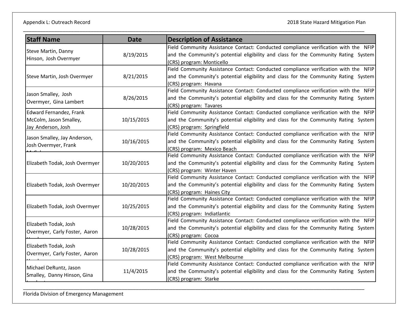| <b>Staff Name</b>                                      | <b>Date</b> | <b>Description of Assistance</b>                                                    |
|--------------------------------------------------------|-------------|-------------------------------------------------------------------------------------|
|                                                        |             | Field Community Assistance Contact: Conducted compliance verification with the NFIP |
| Steve Martin, Danny                                    | 8/19/2015   | and the Community's potential eligibility and class for the Community Rating System |
| Hinson, Josh Overmyer                                  |             | (CRS) program: Monticello                                                           |
|                                                        |             | Field Community Assistance Contact: Conducted compliance verification with the NFIP |
| Steve Martin, Josh Overmyer                            | 8/21/2015   | and the Community's potential eligibility and class for the Community Rating System |
|                                                        |             | (CRS) program: Havana                                                               |
|                                                        |             | Field Community Assistance Contact: Conducted compliance verification with the NFIP |
| Jason Smalley, Josh                                    | 8/26/2015   | and the Community's potential eligibility and class for the Community Rating System |
| Overmyer, Gina Lambert                                 |             | (CRS) program: Tavares                                                              |
| Edward Fernandez, Frank                                |             | Field Community Assistance Contact: Conducted compliance verification with the NFIP |
| McColm, Jason Smalley,                                 | 10/15/2015  | and the Community's potential eligibility and class for the Community Rating System |
| Jay Anderson, Josh                                     |             | (CRS) program: Springfield                                                          |
| Jason Smalley, Jay Anderson,                           |             | Field Community Assistance Contact: Conducted compliance verification with the NFIP |
|                                                        | 10/16/2015  | and the Community's potential eligibility and class for the Community Rating System |
| Josh Overmyer, Frank                                   |             | (CRS) program: Mexico Beach                                                         |
|                                                        | 10/20/2015  | Field Community Assistance Contact: Conducted compliance verification with the NFIP |
| Elizabeth Todak, Josh Overmyer                         |             | and the Community's potential eligibility and class for the Community Rating System |
|                                                        |             | (CRS) program: Winter Haven                                                         |
|                                                        | 10/20/2015  | Field Community Assistance Contact: Conducted compliance verification with the NFIP |
| Elizabeth Todak, Josh Overmyer                         |             | and the Community's potential eligibility and class for the Community Rating System |
|                                                        |             | (CRS) program: Haines City                                                          |
|                                                        | 10/25/2015  | Field Community Assistance Contact: Conducted compliance verification with the NFIP |
| Elizabeth Todak, Josh Overmyer                         |             | and the Community's potential eligibility and class for the Community Rating System |
|                                                        |             | (CRS) program: Indiatlantic                                                         |
| Elizabeth Todak, Josh                                  |             | Field Community Assistance Contact: Conducted compliance verification with the NFIP |
| Overmyer, Carly Foster, Aaron                          | 10/28/2015  | and the Community's potential eligibility and class for the Community Rating System |
|                                                        |             | (CRS) program: Cocoa                                                                |
| Elizabeth Todak, Josh<br>Overmyer, Carly Foster, Aaron |             | Field Community Assistance Contact: Conducted compliance verification with the NFIP |
|                                                        | 10/28/2015  | and the Community's potential eligibility and class for the Community Rating System |
|                                                        |             | (CRS) program: West Melbourne                                                       |
| Michael DeRuntz, Jason                                 |             | Field Community Assistance Contact: Conducted compliance verification with the NFIP |
| Smalley, Danny Hinson, Gina                            | 11/4/2015   | and the Community's potential eligibility and class for the Community Rating System |
|                                                        |             | (CRS) program: Starke                                                               |

\_\_\_\_\_\_\_\_\_\_\_\_\_\_\_\_\_\_\_\_\_\_\_\_\_\_\_\_\_\_\_\_\_\_\_\_\_\_\_\_\_\_\_\_\_\_\_\_\_\_\_\_\_\_\_\_\_\_\_\_\_\_\_\_\_\_\_\_\_\_\_\_\_\_\_\_\_\_\_\_\_\_\_\_\_\_\_\_\_\_\_\_\_\_\_\_\_\_\_\_\_\_\_\_\_\_\_\_\_\_\_\_\_\_\_\_\_\_\_\_\_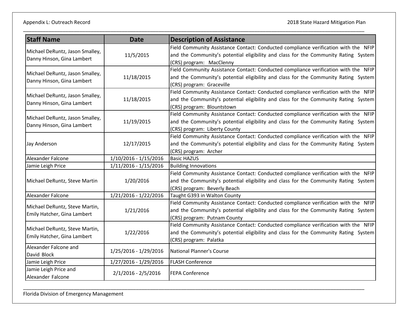| <b>Staff Name</b>                                             | <b>Date</b>           | <b>Description of Assistance</b>                                                    |
|---------------------------------------------------------------|-----------------------|-------------------------------------------------------------------------------------|
|                                                               |                       | Field Community Assistance Contact: Conducted compliance verification with the NFIP |
| Michael DeRuntz, Jason Smalley,                               | 11/5/2015             | and the Community's potential eligibility and class for the Community Rating System |
| Danny Hinson, Gina Lambert                                    |                       | (CRS) program: MacClenny                                                            |
|                                                               |                       | Field Community Assistance Contact: Conducted compliance verification with the NFIP |
| Michael DeRuntz, Jason Smalley,<br>Danny Hinson, Gina Lambert | 11/18/2015            | and the Community's potential eligibility and class for the Community Rating System |
|                                                               |                       | (CRS) program: Graceville                                                           |
|                                                               |                       | Field Community Assistance Contact: Conducted compliance verification with the NFIP |
| Michael DeRuntz, Jason Smalley,                               | 11/18/2015            | and the Community's potential eligibility and class for the Community Rating System |
| Danny Hinson, Gina Lambert                                    |                       | (CRS) program: Blountstown                                                          |
| Michael DeRuntz, Jason Smalley,                               |                       | Field Community Assistance Contact: Conducted compliance verification with the NFIP |
| Danny Hinson, Gina Lambert                                    | 11/19/2015            | and the Community's potential eligibility and class for the Community Rating System |
|                                                               |                       | (CRS) program: Liberty County                                                       |
|                                                               |                       | Field Community Assistance Contact: Conducted compliance verification with the NFIP |
| Jay Anderson                                                  | 12/17/2015            | and the Community's potential eligibility and class for the Community Rating System |
|                                                               |                       | (CRS) program: Archer                                                               |
| Alexander Falcone                                             | 1/10/2016 - 1/15/2016 | <b>Basic HAZUS</b>                                                                  |
| Jamie Leigh Price                                             | 1/11/2016 - 1/15/2016 | <b>Building Innovations</b>                                                         |
|                                                               | 1/20/2016             | Field Community Assistance Contact: Conducted compliance verification with the NFIP |
| Michael DeRuntz, Steve Martin                                 |                       | and the Community's potential eligibility and class for the Community Rating System |
|                                                               |                       | (CRS) program: Beverly Beach                                                        |
| Alexander Falcone                                             | 1/21/2016 - 1/22/2016 | Taught G393 in Walton County                                                        |
| Michael DeRuntz, Steve Martin,                                | 1/21/2016             | Field Community Assistance Contact: Conducted compliance verification with the NFIP |
| Emily Hatcher, Gina Lambert                                   |                       | and the Community's potential eligibility and class for the Community Rating System |
|                                                               |                       | (CRS) program: Putnam County                                                        |
| Michael DeRuntz, Steve Martin,                                |                       | Field Community Assistance Contact: Conducted compliance verification with the NFIP |
| Emily Hatcher, Gina Lambert                                   | 1/22/2016             | and the Community's potential eligibility and class for the Community Rating System |
|                                                               |                       | (CRS) program: Palatka                                                              |
| Alexander Falcone and                                         | 1/25/2016 - 1/29/2016 | <b>National Planner's Course</b>                                                    |
| David Block                                                   |                       |                                                                                     |
| Jamie Leigh Price                                             | 1/27/2016 - 1/29/2016 | <b>FLASH Conference</b>                                                             |
| Jamie Leigh Price and                                         | $2/1/2016 - 2/5/2016$ | <b>FEPA Conference</b>                                                              |
| Alexander Falcone                                             |                       |                                                                                     |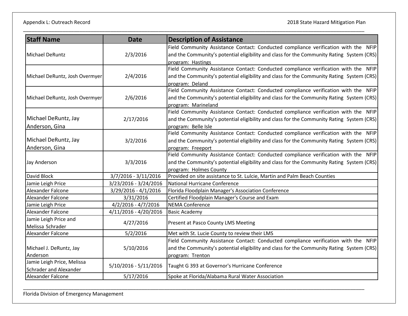| <b>Staff Name</b>              | <b>Date</b>             | <b>Description of Assistance</b>                                                          |
|--------------------------------|-------------------------|-------------------------------------------------------------------------------------------|
| Michael DeRuntz                | 2/3/2016                | Field Community Assistance Contact: Conducted compliance verification with the NFIP       |
|                                |                         | and the Community's potential eligibility and class for the Community Rating System (CRS) |
|                                |                         | program: Hastings                                                                         |
|                                |                         | Field Community Assistance Contact: Conducted compliance verification with the NFIP       |
| Michael DeRuntz, Josh Overmyer | 2/4/2016                | and the Community's potential eligibility and class for the Community Rating System (CRS) |
|                                |                         | program: Deland                                                                           |
|                                |                         | Field Community Assistance Contact: Conducted compliance verification with the NFIP       |
| Michael DeRuntz, Josh Overmyer | 2/6/2016                | and the Community's potential eligibility and class for the Community Rating System (CRS) |
|                                |                         | program: Marineland                                                                       |
|                                |                         | Field Community Assistance Contact: Conducted compliance verification with the NFIP       |
| Michael DeRuntz, Jay           | 2/17/2016               | and the Community's potential eligibility and class for the Community Rating System (CRS) |
| Anderson, Gina                 |                         | program: Belle Isle                                                                       |
|                                |                         | Field Community Assistance Contact: Conducted compliance verification with the NFIP       |
| Michael DeRuntz, Jay           | 3/2/2016                | and the Community's potential eligibility and class for the Community Rating System (CRS) |
| Anderson, Gina                 |                         | program: Freeport                                                                         |
|                                | 3/3/2016                | Field Community Assistance Contact: Conducted compliance verification with the NFIP       |
| Jay Anderson                   |                         | and the Community's potential eligibility and class for the Community Rating System (CRS) |
|                                |                         | program: Holmes County                                                                    |
| David Block                    | 3/7/2016 - 3/11/2016    | Provided on site assistance to St. Lulcie, Martin and Palm Beach Counties                 |
| Jamie Leigh Price              | 3/23/2016 - 3/24/2016   | National Hurricane Conference                                                             |
| Alexander Falcone              | 3/29/2016 - 4/1/2016    | Florida Floodplain Manager's Association Conference                                       |
| <b>Alexander Falcone</b>       | 3/31/2016               | Certified Floodplain Manager's Course and Exam                                            |
| Jamie Leigh Price              | $4/2/2016 - 4/7/2016$   | <b>NEMA Conference</b>                                                                    |
| Alexander Falcone              | 4/11/2016 - 4/20/2016   | <b>Basic Academy</b>                                                                      |
| Jamie Leigh Price and          | 4/27/2016               | Present at Pasco County LMS Meeting                                                       |
| Melissa Schrader               |                         |                                                                                           |
| Alexander Falcone              | 5/2/2016                | Met with St. Lucie County to review their LMS                                             |
|                                |                         | Field Community Assistance Contact: Conducted compliance verification with the NFIP       |
| Michael J. DeRuntz, Jay        | 5/10/2016               | and the Community's potential eligibility and class for the Community Rating System (CRS) |
| Anderson                       |                         | program: Trenton                                                                          |
| Jamie Leigh Price, Melissa     | $5/10/2016 - 5/11/2016$ | Taught G 393 at Governor's Hurricane Conference                                           |
| Schrader and Alexander         |                         |                                                                                           |
| Alexander Falcone              | 5/17/2016               | Spoke at Florida/Alabama Rural Water Association                                          |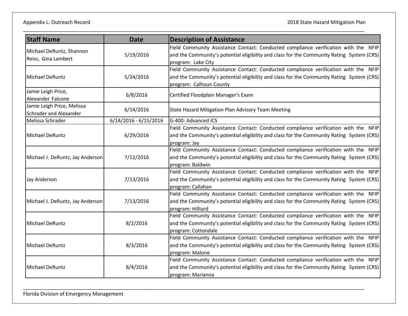| <b>Staff Name</b>                                    | <b>Date</b>             | <b>Description of Assistance</b>                                                                                                                                                                            |
|------------------------------------------------------|-------------------------|-------------------------------------------------------------------------------------------------------------------------------------------------------------------------------------------------------------|
| Michael DeRuntz, Shannon<br>Reiss, Gina Lambert      | 5/19/2016               | Field Community Assistance Contact: Conducted compliance verification with the NFIP<br>and the Community's potential eligibility and class for the Community Rating System (CRS)<br>program: Lake City      |
| Michael DeRuntz                                      | 5/24/2016               | Field Community Assistance Contact: Conducted compliance verification with the NFIP<br>and the Community's potential eligibility and class for the Community Rating System (CRS)<br>program: Calhoun County |
| Jamie Leigh Price,<br>Alexander Falcone              | 6/8/2016                | Certified Floodplain Manager's Exam                                                                                                                                                                         |
| Jamie Leigh Price, Melissa<br>Schrader and Alexander | 6/14/2016               | State Hazard Mitigation Plan Advisory Team Meeting                                                                                                                                                          |
| Melissa Schrader                                     | $6/14/2016 - 6/15/2016$ | G-400: Advanced ICS                                                                                                                                                                                         |
| Michael DeRuntz                                      | 6/29/2016               | Field Community Assistance Contact: Conducted compliance verification with the NFIP<br>and the Community's potential eligibility and class for the Community Rating System (CRS)<br>program: Jay            |
| Michael J. DeRuntz, Jay Anderson                     | 7/12/2016               | Field Community Assistance Contact: Conducted compliance verification with the NFIP<br>and the Community's potential eligibility and class for the Community Rating System (CRS)<br>program: Baldwin        |
| Jay Anderson                                         | 7/13/2016               | Field Community Assistance Contact: Conducted compliance verification with the NFIP<br>and the Community's potential eligibility and class for the Community Rating System (CRS)<br>program: Callahan       |
| Michael J. DeRuntz, Jay Anderson                     | 7/13/2016               | Field Community Assistance Contact: Conducted compliance verification with the NFIP<br>and the Community's potential eligibility and class for the Community Rating System (CRS)<br>program: Hilliard       |
| Michael DeRuntz                                      | 8/2/2016                | Field Community Assistance Contact: Conducted compliance verification with the NFIP<br>and the Community's potential eligibility and class for the Community Rating System (CRS)<br>program: Cottondale     |
| Michael DeRuntz                                      | 8/3/2016                | Field Community Assistance Contact: Conducted compliance verification with the NFIP<br>and the Community's potential eligibility and class for the Community Rating System (CRS)<br>program: Malone         |
| <b>Michael DeRuntz</b>                               | 8/4/2016                | Field Community Assistance Contact: Conducted compliance verification with the NFIP<br>and the Community's potential eligibility and class for the Community Rating System (CRS)<br>program: Marianna       |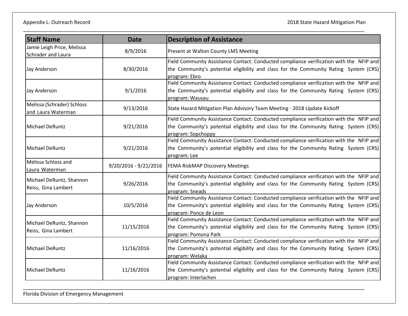| <b>Staff Name</b>                                | <b>Date</b>             | <b>Description of Assistance</b>                                                                                                                                                                           |
|--------------------------------------------------|-------------------------|------------------------------------------------------------------------------------------------------------------------------------------------------------------------------------------------------------|
| Jamie Leigh Price, Melissa<br>Schrader and Laura | 8/9/2016                | Present at Walton County LMS Meeting                                                                                                                                                                       |
| Jay Anderson                                     | 8/30/2016               | Field Community Assistance Contact: Conducted compliance verification with the NFIP and<br>the Community's potential eligibility and class for the Community Rating System (CRS)<br>program: Ebro          |
| Jay Anderson                                     | 9/1/2016                | Field Community Assistance Contact: Conducted compliance verification with the NFIP and<br>the Community's potential eligibility and class for the Community Rating System (CRS)<br>program: Wausau        |
| Melissa (Schrader) Schloss<br>and Laura Waterman | 9/13/2016               | State Hazard Mitigation Plan Advisory Team Meeting - 2018 Update Kickoff                                                                                                                                   |
| Michael DeRuntz                                  | 9/21/2016               | Field Community Assistance Contact: Conducted compliance verification with the NFIP and<br>the Community's potential eligibility and class for the Community Rating System (CRS)<br>program: Sopchoppy     |
| <b>Michael DeRuntz</b>                           | 9/21/2016               | Field Community Assistance Contact: Conducted compliance verification with the NFIP and<br>the Community's potential eligibility and class for the Community Rating System (CRS)<br>program: Lee           |
| Melissa Schloss and<br>Laura Waterman            | $9/20/2016 - 9/21/2016$ | <b>FEMA RiskMAP Discovery Meetings</b>                                                                                                                                                                     |
| Michael DeRuntz, Shannon<br>Reiss, Gina Lambert  | 9/26/2016               | Field Community Assistance Contact: Conducted compliance verification with the NFIP and<br>the Community's potential eligibility and class for the Community Rating System (CRS)<br>program: Sneads        |
| Jay Anderson                                     | 10/5/2016               | Field Community Assistance Contact: Conducted compliance verification with the NFIP and<br>the Community's potential eligibility and class for the Community Rating System (CRS)<br>program: Ponce de Leon |
| Michael DeRuntz, Shannon<br>Reiss, Gina Lambert  | 11/15/2016              | Field Community Assistance Contact: Conducted compliance verification with the NFIP and<br>the Community's potential eligibility and class for the Community Rating System (CRS)<br>program: Pomona Park   |
| Michael DeRuntz                                  | 11/16/2016              | Field Community Assistance Contact: Conducted compliance verification with the NFIP and<br>the Community's potential eligibility and class for the Community Rating System (CRS)<br>program: Welaka        |
| Michael DeRuntz                                  | 11/16/2016              | Field Community Assistance Contact: Conducted compliance verification with the NFIP and<br>the Community's potential eligibility and class for the Community Rating System (CRS)<br>program: Interlachen   |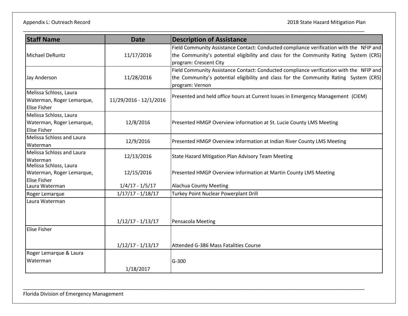Appendix L: Outreach Record 2018 State Hazard Mitigation Plan

| <b>Staff Name</b>                                | <b>Date</b>            | <b>Description of Assistance</b>                                                                                |
|--------------------------------------------------|------------------------|-----------------------------------------------------------------------------------------------------------------|
|                                                  |                        | Field Community Assistance Contact: Conducted compliance verification with the NFIP and                         |
| Michael DeRuntz                                  | 11/17/2016             | the Community's potential eligibility and class for the Community Rating System (CRS)<br>program: Crescent City |
|                                                  |                        | Field Community Assistance Contact: Conducted compliance verification with the NFIP and                         |
| Jay Anderson                                     | 11/28/2016             | the Community's potential eligibility and class for the Community Rating System (CRS)<br>program: Vernon        |
| Melissa Schloss, Laura                           |                        | Presented and held office hours at Current Issues in Emergency Management (CIEM)                                |
| Waterman, Roger Lemarque,<br><b>Elise Fisher</b> | 11/29/2016 - 12/1/2016 |                                                                                                                 |
| Melissa Schloss, Laura                           |                        |                                                                                                                 |
| Waterman, Roger Lemarque,                        | 12/8/2016              | Presented HMGP Overview information at St. Lucie County LMS Meeting                                             |
| <b>Elise Fisher</b>                              |                        |                                                                                                                 |
| Melissa Schloss and Laura                        | 12/9/2016              | Presented HMGP Overview information at Indian River County LMS Meeting                                          |
| Waterman                                         |                        |                                                                                                                 |
| <b>Melissa Schloss and Laura</b>                 | 12/13/2016             | State Hazard Mitigation Plan Advisory Team Meeting                                                              |
| Waterman<br>Melissa Schloss, Laura               |                        |                                                                                                                 |
| Waterman, Roger Lemarque,                        | 12/15/2016             | Presented HMGP Overview information at Martin County LMS Meeting                                                |
| <b>Elise Fisher</b>                              |                        |                                                                                                                 |
| Laura Waterman                                   | $1/4/17 - 1/5/17$      | Alachua County Meeting                                                                                          |
| Roger Lemarque                                   | $1/17/17 - 1/18/17$    | Turkey Point Nuclear Powerplant Drill                                                                           |
| Laura Waterman                                   |                        |                                                                                                                 |
|                                                  |                        |                                                                                                                 |
|                                                  | $1/12/17 - 1/13/17$    | Pensacola Meeting                                                                                               |
| <b>Elise Fisher</b>                              |                        |                                                                                                                 |
|                                                  |                        |                                                                                                                 |
|                                                  | $1/12/17 - 1/13/17$    | Attended G-386 Mass Fatalities Course                                                                           |
| Roger Lemarque & Laura                           |                        |                                                                                                                 |
| Waterman                                         |                        | G-300                                                                                                           |
|                                                  | 1/18/2017              |                                                                                                                 |

\_\_\_\_\_\_\_\_\_\_\_\_\_\_\_\_\_\_\_\_\_\_\_\_\_\_\_\_\_\_\_\_\_\_\_\_\_\_\_\_\_\_\_\_\_\_\_\_\_\_\_\_\_\_\_\_\_\_\_\_\_\_\_\_\_\_\_\_\_\_\_\_\_\_\_\_\_\_\_\_\_\_\_\_\_\_\_\_\_\_\_\_\_\_\_\_\_\_\_\_\_\_\_\_\_\_\_\_\_\_\_\_\_\_\_\_\_\_\_\_\_

\_\_\_\_\_\_\_\_\_\_\_\_\_\_\_\_\_\_\_\_\_\_\_\_\_\_\_\_\_\_\_\_\_\_\_\_\_\_\_\_\_\_\_\_\_\_\_\_\_\_\_\_\_\_\_\_\_\_\_\_\_\_\_\_\_\_\_\_\_\_\_\_\_\_\_\_\_\_\_\_\_\_\_\_\_\_\_\_\_\_\_\_\_\_\_\_\_\_\_\_\_\_\_\_\_\_\_\_\_\_\_\_\_\_\_\_\_\_\_\_\_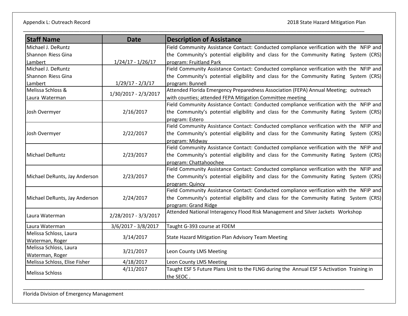Appendix L: Outreach Record 2018 State Hazard Mitigation Plan

| <b>Staff Name</b>             | <b>Date</b>          | <b>Description of Assistance</b>                                                          |
|-------------------------------|----------------------|-------------------------------------------------------------------------------------------|
| Michael J. DeRuntz            |                      | Field Community Assistance Contact: Conducted compliance verification with the NFIP and   |
| Shannon Riess Gina            |                      | the Community's potential eligibility and class for the Community Rating System (CRS)     |
| Lambert                       | $1/24/17 - 1/26/17$  | program: Fruitland Park                                                                   |
| Michael J. DeRuntz            |                      | Field Community Assistance Contact: Conducted compliance verification with the NFIP and   |
| Shannon Riess Gina            |                      | the Community's potential eligibility and class for the Community Rating System (CRS)     |
| Lambert                       | $1/29/17 - 2/3/17$   | program: Bunnell                                                                          |
| Melissa Schloss &             | 1/30/2017 - 2/3/2017 | Attended Florida Emergency Preparedness Association (FEPA) Annual Meeting; outreach       |
| Laura Waterman                |                      | with counties; attended FEPA Mitigation Committee meeting                                 |
|                               |                      | Field Community Assistance Contact: Conducted compliance verification with the NFIP and   |
| Josh Overmyer                 | 2/16/2017            | the Community's potential eligibility and class for the Community Rating System (CRS)     |
|                               |                      | program: Estero                                                                           |
|                               |                      | Field Community Assistance Contact: Conducted compliance verification with the NFIP and   |
| Josh Overmyer                 | 2/22/2017            | the Community's potential eligibility and class for the Community Rating System (CRS)     |
|                               |                      | program: Midway                                                                           |
|                               | 2/23/2017            | Field Community Assistance Contact: Conducted compliance verification with the NFIP and   |
| Michael DeRuntz               |                      | the Community's potential eligibility and class for the Community Rating System (CRS)     |
|                               |                      | program: Chattahoochee                                                                    |
|                               |                      | Field Community Assistance Contact: Conducted compliance verification with the NFIP and   |
| Michael DeRunts, Jay Anderson | 2/23/2017            | the Community's potential eligibility and class for the Community Rating System (CRS)     |
|                               |                      | program: Quincy                                                                           |
|                               |                      | Field Community Assistance Contact: Conducted compliance verification with the NFIP and   |
| Michael DeRunts, Jay Anderson | 2/24/2017            | the Community's potential eligibility and class for the Community Rating System (CRS)     |
|                               |                      | program: Grand Ridge                                                                      |
| Laura Waterman                | 2/28/2017 - 3/3/2017 | Attended National Interagency Flood Risk Management and Silver Jackets Workshop           |
| Laura Waterman                | 3/6/2017 - 3/8/2017  | Taught G-393 course at FDEM                                                               |
| Melissa Schloss, Laura        |                      |                                                                                           |
| Waterman, Roger               | 3/14/2017            | State Hazard Mitigation Plan Advisory Team Meeting                                        |
| Melissa Schloss, Laura        |                      |                                                                                           |
| Waterman, Roger               | 3/21/2017            | Leon County LMS Meeting                                                                   |
| Melissa Schloss, Elise Fisher | 4/18/2017            | Leon County LMS Meeting                                                                   |
|                               | 4/11/2017            | Taught ESF 5 Future Plans Unit to the FLNG during the Annual ESF 5 Activation Training in |
| Melissa Schloss               |                      | the SEOC.                                                                                 |

\_\_\_\_\_\_\_\_\_\_\_\_\_\_\_\_\_\_\_\_\_\_\_\_\_\_\_\_\_\_\_\_\_\_\_\_\_\_\_\_\_\_\_\_\_\_\_\_\_\_\_\_\_\_\_\_\_\_\_\_\_\_\_\_\_\_\_\_\_\_\_\_\_\_\_\_\_\_\_\_\_\_\_\_\_\_\_\_\_\_\_\_\_\_\_\_\_\_\_\_\_\_\_\_\_\_\_\_\_\_\_\_\_\_\_\_\_\_\_\_\_

\_\_\_\_\_\_\_\_\_\_\_\_\_\_\_\_\_\_\_\_\_\_\_\_\_\_\_\_\_\_\_\_\_\_\_\_\_\_\_\_\_\_\_\_\_\_\_\_\_\_\_\_\_\_\_\_\_\_\_\_\_\_\_\_\_\_\_\_\_\_\_\_\_\_\_\_\_\_\_\_\_\_\_\_\_\_\_\_\_\_\_\_\_\_\_\_\_\_\_\_\_\_\_\_\_\_\_\_\_\_\_\_\_\_\_\_\_\_\_\_\_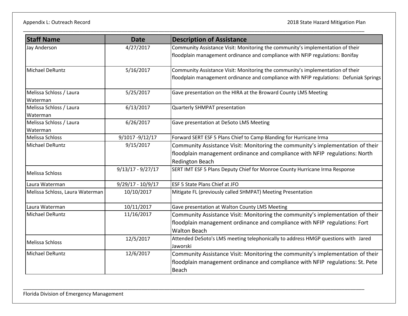| <b>Staff Name</b>               | <b>Date</b>         | <b>Description of Assistance</b>                                                                  |
|---------------------------------|---------------------|---------------------------------------------------------------------------------------------------|
| Jay Anderson                    | 4/27/2017           | Community Assistance Visit: Monitoring the community's implementation of their                    |
|                                 |                     | floodplain management ordinance and compliance with NFIP regulations: Bonifay                     |
| Michael DeRuntz                 | 5/16/2017           | Community Assistance Visit: Monitoring the community's implementation of their                    |
|                                 |                     | floodplain management ordinance and compliance with NFIP regulations: Defuniak Springs            |
| Melissa Schloss / Laura         | 5/25/2017           | Gave presentation on the HIRA at the Broward County LMS Meeting                                   |
| Waterman                        |                     |                                                                                                   |
| Melissa Schloss / Laura         | 6/13/2017           | Quarterly SHMPAT presentation                                                                     |
| Waterman                        |                     |                                                                                                   |
| Melissa Schloss / Laura         | 6/26/2017           | Gave presentation at DeSoto LMS Meeting                                                           |
| Waterman                        |                     |                                                                                                   |
| Melissa Schloss                 | 9/1017 - 9/12/17    | Forward SERT ESF 5 Plans Chief to Camp Blanding for Hurricane Irma                                |
| <b>Michael DeRuntz</b>          | 9/15/2017           | Community Assistance Visit: Monitoring the community's implementation of their                    |
|                                 |                     | floodplain management ordinance and compliance with NFIP regulations: North                       |
|                                 |                     | <b>Redington Beach</b>                                                                            |
| Melissa Schloss                 | $9/13/17 - 9/27/17$ | SERT IMT ESF 5 Plans Deputy Chief for Monroe County Hurricane Irma Response                       |
| Laura Waterman                  | $9/29/17 - 10/9/17$ | ESF 5 State Plans Chief at JFO                                                                    |
| Melissa Schloss, Laura Waterman | 10/10/2017          | Mitigate FL (previously called SHMPAT) Meeting Presentation                                       |
| Laura Waterman                  | 10/11/2017          | Gave presentation at Walton County LMS Meeting                                                    |
| Michael DeRuntz                 | 11/16/2017          | Community Assistance Visit: Monitoring the community's implementation of their                    |
|                                 |                     | floodplain management ordinance and compliance with NFIP regulations: Fort<br><b>Walton Beach</b> |
|                                 |                     |                                                                                                   |
| Melissa Schloss                 | 12/5/2017           | Attended DeSoto's LMS meeting telephonically to address HMGP questions with Jared<br>Jaworski     |
| Michael DeRuntz                 | 12/6/2017           | Community Assistance Visit: Monitoring the community's implementation of their                    |
|                                 |                     | floodplain management ordinance and compliance with NFIP regulations: St. Pete                    |
|                                 |                     | Beach                                                                                             |